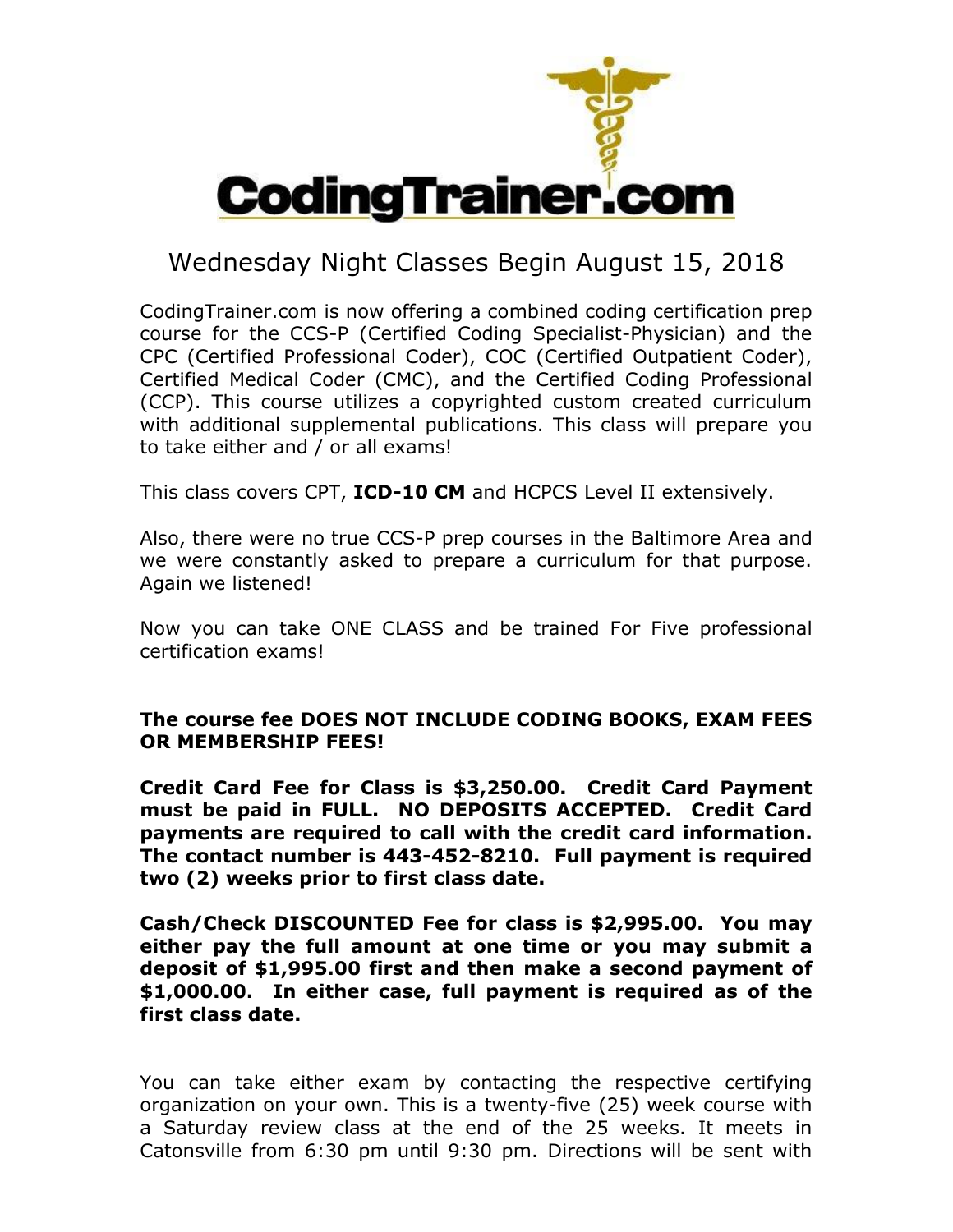

## Wednesday Night Classes Begin August 15, 2018

CodingTrainer.com is now offering a combined coding certification prep course for the CCS-P (Certified Coding Specialist-Physician) and the CPC (Certified Professional Coder), COC (Certified Outpatient Coder), Certified Medical Coder (CMC), and the Certified Coding Professional (CCP). This course utilizes a copyrighted custom created curriculum with additional supplemental publications. This class will prepare you to take either and / or all exams!

This class covers CPT, **ICD-10 CM** and HCPCS Level II extensively.

Also, there were no true CCS-P prep courses in the Baltimore Area and we were constantly asked to prepare a curriculum for that purpose. Again we listened!

Now you can take ONE CLASS and be trained For Five professional certification exams!

## The course fee DOES NOT INCLUDE CODING BOOKS, EXAM FEES OR MEMBERSHIP FEES!

Credit Card Fee for Class is \$3,250.00. Credit Card Payment must be paid in FULL. NO DEPOSITS ACCEPTED. Credit Card payments are required to call with the credit card information. The contact number is 443-452-8210. Full payment is required two (2) weeks prior to first class date.

Cash/Check DISCOUNTED Fee for class is \$2,995.00. You may either pay the full amount at one time or you may submit a deposit of \$1,995.00 first and then make a second payment of \$1,000.00. In either case, full payment is required as of the first class date.

You can take either exam by contacting the respective certifying organization on your own. This is a twenty-five (25) week course with a Saturday review class at the end of the 25 weeks. It meets in Catonsville from 6:30 pm until 9:30 pm. Directions will be sent with